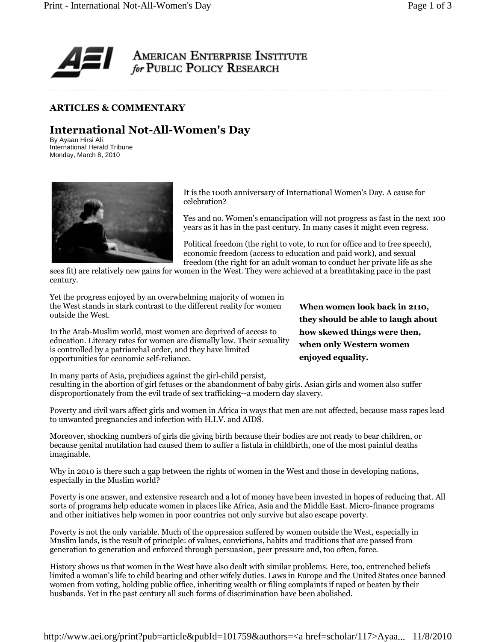

## ARTICLES & COMMENTARY

## International Not-All-Women's Day

By Ayaan Hirsi Ali International Herald Tribune Monday, March 8, 2010



It is the 100th anniversary of International Women's Day. A cause for celebration?

Yes and no. Women's emancipation will not progress as fast in the next 100 years as it has in the past century. In many cases it might even regress.

Political freedom (the right to vote, to run for office and to free speech), economic freedom (access to education and paid work), and sexual freedom (the right for an adult woman to conduct her private life as she

sees fit) are relatively new gains for women in the West. They were achieved at a breathtaking pace in the past century.

Yet the progress enjoyed by an overwhelming majority of women in the West stands in stark contrast to the different reality for women outside the West.

In the Arab-Muslim world, most women are deprived of access to education. Literacy rates for women are dismally low. Their sexuality is controlled by a patriarchal order, and they have limited opportunities for economic self-reliance.

When women look back in 2110, they should be able to laugh about how skewed things were then, when only Western women enjoyed equality.

In many parts of Asia, prejudices against the girl-child persist,

resulting in the abortion of girl fetuses or the abandonment of baby girls. Asian girls and women also suffer disproportionately from the evil trade of sex trafficking--a modern day slavery.

Poverty and civil wars affect girls and women in Africa in ways that men are not affected, because mass rapes lead to unwanted pregnancies and infection with H.I.V. and AIDS.

Moreover, shocking numbers of girls die giving birth because their bodies are not ready to bear children, or because genital mutilation had caused them to suffer a fistula in childbirth, one of the most painful deaths imaginable.

Why in 2010 is there such a gap between the rights of women in the West and those in developing nations, especially in the Muslim world?

Poverty is one answer, and extensive research and a lot of money have been invested in hopes of reducing that. All sorts of programs help educate women in places like Africa, Asia and the Middle East. Micro-finance programs and other initiatives help women in poor countries not only survive but also escape poverty.

Poverty is not the only variable. Much of the oppression suffered by women outside the West, especially in Muslim lands, is the result of principle: of values, convictions, habits and traditions that are passed from generation to generation and enforced through persuasion, peer pressure and, too often, force.

History shows us that women in the West have also dealt with similar problems. Here, too, entrenched beliefs limited a woman's life to child bearing and other wifely duties. Laws in Europe and the United States once banned women from voting, holding public office, inheriting wealth or filing complaints if raped or beaten by their husbands. Yet in the past century all such forms of discrimination have been abolished.

http://www.aei.org/print?pub=article&pubId=101759&authors=<a href=scholar/117>Ayaa... 11/8/2010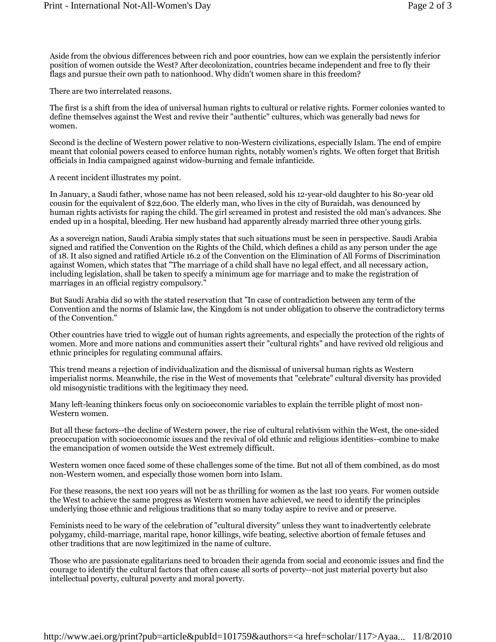Aside from the obvious differences between rich and poor countries, how can we explain the persistently inferior position of women outside the West? After decolonization, countries became independent and free to fly their flags and pursue their own path to nationhood. Why didn't women share in this freedom?

There are two interrelated reasons.

The first is a shift from the idea of universal human rights to cultural or relative rights. Former colonies wanted to define themselves against the West and revive their "authentic" cultures, which was generally bad news for women.

Second is the decline of Western power relative to non-Western civilizations, especially Islam. The end of empire meant that colonial powers ceased to enforce human rights, notably women's rights. We often forget that British officials in India campaigned against widow-burning and female infanticide.

A recent incident illustrates my point.

In January, a Saudi father, whose name has not been released, sold his 12-year-old daughter to his 80-year old cousin for the equivalent of \$22,600. The elderly man, who lives in the city of Buraidah, was denounced by human rights activists for raping the child. The girl screamed in protest and resisted the old man's advances. She ended up in a hospital, bleeding. Her new husband had apparently already married three other young girls.

As a sovereign nation, Saudi Arabia simply states that such situations must be seen in perspective. Saudi Arabia signed and ratified the Convention on the Rights of the Child, which defines a child as any person under the age of 18. It also signed and ratified Article 16.2 of the Convention on the Elimination of All Forms of Discrimination against Women, which states that "The marriage of a child shall have no legal effect, and all necessary action, including legislation, shall be taken to specify a minimum age for marriage and to make the registration of marriages in an official registry compulsory."

But Saudi Arabia did so with the stated reservation that "In case of contradiction between any term of the Convention and the norms of Islamic law, the Kingdom is not under obligation to observe the contradictory terms of the Convention."

Other countries have tried to wiggle out of human rights agreements, and especially the protection of the rights of women. More and more nations and communities assert their "cultural rights" and have revived old religious and ethnic principles for regulating communal affairs.

This trend means a rejection of individualization and the dismissal of universal human rights as Western imperialist norms. Meanwhile, the rise in the West of movements that "celebrate" cultural diversity has provided old misogynistic traditions with the legitimacy they need.

Many left-leaning thinkers focus only on socioeconomic variables to explain the terrible plight of most non-Western women.

But all these factors--the decline of Western power, the rise of cultural relativism within the West, the one-sided preoccupation with socioeconomic issues and the revival of old ethnic and religious identities--combine to make the emancipation of women outside the West extremely difficult.

Western women once faced some of these challenges some of the time. But not all of them combined, as do most non-Western women, and especially those women born into Islam.

For these reasons, the next 100 years will not be as thrilling for women as the last 100 years. For women outside the West to achieve the same progress as Western women have achieved, we need to identify the principles underlying those ethnic and religious traditions that so many today aspire to revive and or preserve.

Feminists need to be wary of the celebration of "cultural diversity" unless they want to inadvertently celebrate polygamy, child-marriage, marital rape, honor killings, wife beating, selective abortion of female fetuses and other traditions that are now legitimized in the name of culture.

Those who are passionate egalitarians need to broaden their agenda from social and economic issues and find the courage to identify the cultural factors that often cause all sorts of poverty--not just material poverty but also intellectual poverty, cultural poverty and moral poverty.